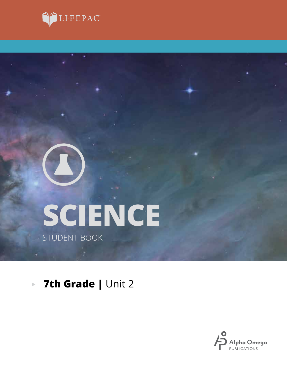



# **SCIENCE** STUDENT BOOK

#### **7th Grade |** Unit 2 $\blacktriangleright$

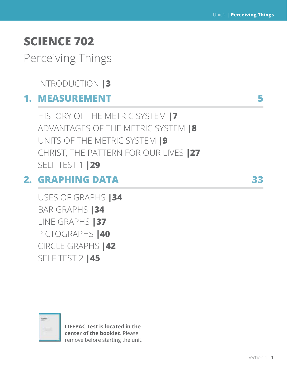## **SCIENCE 702**

Perceiving Things

INTRODUCTION **|3**

### **1. MEASUREMENT 5**

HISTORY OF THE METRIC SYSTEM **|7** ADVANTAGES OF THE METRIC SYSTEM **|8** UNITS OF THE METRIC SYSTEM **|9** CHRIST, THE PATTERN FOR OUR LIVES **|27** SELF TEST 1 **|29**

### **2. GRAPHING DATA 33**

USES OF GRAPHS **|34** BAR GRAPHS **|34** LINE GRAPHS **|37** PICTOGRAPHS **|40** CIRCLE GRAPHS **|42** SELF TEST 2 **|45**



**LIFEPAC Test is located in the center of the booklet**. Please remove before starting the unit.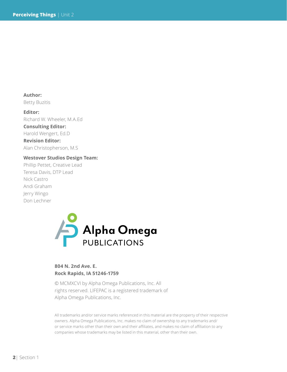**Author:**  Betty Buzitis

**Editor:** Richard W. Wheeler, M.A.Ed **Consulting Editor:** Harold Wengert, Ed.D **Revision Editor:** Alan Christopherson, M.S

#### **Westover Studios Design Team:**

Phillip Pettet, Creative Lead Teresa Davis, DTP Lead Nick Castro Andi Graham Jerry Wingo Don Lechner



#### **804 N. 2nd Ave. E. Rock Rapids, IA 51246-1759**

© MCMXCVI by Alpha Omega Publications, Inc. All rights reserved. LIFEPAC is a registered trademark of Alpha Omega Publications, Inc.

All trademarks and/or service marks referenced in this material are the property of their respective owners. Alpha Omega Publications, Inc. makes no claim of ownership to any trademarks and/ or service marks other than their own and their affiliates, and makes no claim of affiliation to any companies whose trademarks may be listed in this material, other than their own.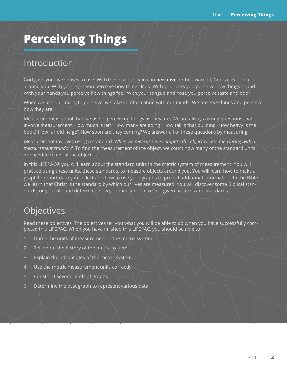### **Perceiving Things**

### Introduction

God gave you five senses to use. With these senses you can **perceive**, or be aware of, God's creation all around you. With your eyes you perceive how things look. With your ears you perceive how things sound. With your hands you perceive how things feel. With your tongue and nose you perceive taste and odor.

When we use our ability to perceive, we take in information with our minds. We observe things and perceive how they are.

Measurement is a tool that we use in perceiving things as they are. We are always asking questions that involve measurement. How much is left? How many are going? How tall is that building? How heavy is the book? How far did he go? How soon are they coming? We answer all of these questions by measuring.

Measurement involves using a standard. *When we measure, we compare the object we are measuring with a measurement standard.* To find the measurement of the object, we count how many of the standard units are needed to equal the object.

In this LIFEPAC® you will learn about the standard units in the metric system of measurement. You will practice using these units, these standards, to measure objects around you. You will learn how to make a graph to report data you collect and how to use your graphs to predict additional information. In the Bible we learn that Christ is the standard by which our lives are measured. You will discover some Biblical standards for your life and determine how you measure up to God-given patterns and standards.

### **Objectives**

Read these objectives. The objectives tell you what you will be able to do when you have successfully completed this LIFEPAC. When you have finished this LIFEPAC, you should be able to:

- 1. Name the units of measurement in the metric system.
- 2. Tell about the history of the metric system.
- 3. Explain the advantages of the metric system.
- 4. Use the metric measurement units correctly.
- 5. Construct several kinds of graphs.
- 6. Determine the best graph to represent various data.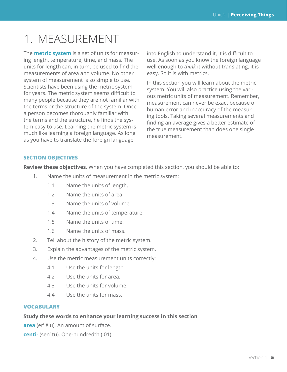## 1. MEASUREMENT

The **metric system** is a set of units for measuring length, temperature, time, and mass. The units for length can, in turn, be used to find the measurements of area and volume. No other system of measurement is so simple to use. Scientists have been using the metric system for years. The metric system seems difficult to many people because they are not familiar with the terms or the structure of the system. Once a person becomes thoroughly familiar with the terms and the structure, he finds the system easy to use. Learning the metric system is much like learning a foreign language. As long as you have to translate the foreign language

into English to understand it, it is difficult to use. As soon as you know the foreign language well enough to *think* it without translating, it is easy. So it is with metrics.

In this section you will learn about the metric system. You will also practice using the various metric units of measurement. Remember, measurement can never be exact because of human error and inaccuracy of the measuring tools. Taking several measurements and finding an average gives a better estimate of the true measurement than does one single measurement.

#### **SECTION OBJECTIVES**

**Review these objectives**. When you have completed this section, you should be able to:

- 1. Name the units of measurement in the metric system:
	- 1.1 Name the units of length.
	- 1.2 Name the units of area.
	- 1.3 Name the units of volume.
	- 1.4 Name the units of temperature.
	- 1.5 Name the units of time.
	- 1.6 Name the units of mass.
- 2. Tell about the history of the metric system.
- 3. Explain the advantages of the metric system.
- 4. Use the metric measurement units correctly:
	- 4.1 Use the units for length.
	- 4.2 Use the units for area.
	- 4.3 Use the units for volume.
	- 4.4 Use the units for mass.

#### **VOCABULARY**

#### **Study these words to enhance your learning success in this section**.

**area** (er' ē u). An amount of surface.

**centi-** (sen' tu). One-hundredth (.01).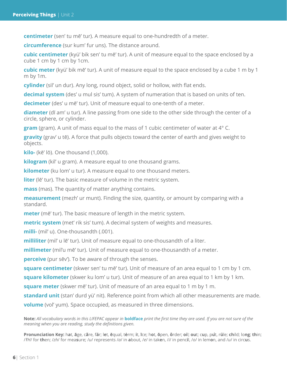**centimeter** (sen' tu mē' tur). A measure equal to one-hundredth of a meter.

**circumference** (sur kum' fur uns). The distance around.

**cubic centimeter** (kyü' bik sen' tu mē' tur). A unit of measure equal to the space enclosed by a cube 1 cm by 1 cm by 1cm.

**cubic meter** (kyü' bik mē' tur). A unit of measure equal to the space enclosed by a cube 1 m by 1 m by 1m.

**cylinder** (sil' un dur). Any long, round object, solid or hollow, with flat ends.

**decimal system** (des' u mul sis' tum). A system of numeration that is based on units of ten.

**decimeter** (des' u mē' tur). Unit of measure equal to one-tenth of a meter.

**diameter** (dī am' u tur). A line passing from one side to the other side through the center of a circle, sphere, or cylinder.

**gram** (gram). A unit of mass equal to the mass of 1 cubic centimeter of water at 4° C.

**gravity** (grav' u tē). A force that pulls objects toward the center of earth and gives weight to objects.

**kilo-** (kē' lō). One thousand (1,000).

**kilogram** (kil' u gram). A measure equal to one thousand grams.

**kilometer** (ku lom' u tur). A measure equal to one thousand meters.

**liter** (lē' tur). The basic measure of volume in the metric system.

**mass** (mas). The quantity of matter anything contains.

**measurement** (mezh' ur munt). Finding the size, quantity, or amount by comparing with a standard.

**meter** (mē' tur). The basic measure of length in the metric system.

**metric system** (met' rik sis' tum). A decimal system of weights and measures.

**milli-** (mil' u). One-thousandth (.001).

**milliliter** (mil' u lē' tur). Unit of measure equal to one-thousandth of a liter.

**millimeter** (mil'u mē' tur). Unit of measure equal to one-thousandth of a meter.

**perceive** (pur sēv'). To be aware of through the senses.

**square centimeter** (skwer sen' tu mē' tur). Unit of measure of an area equal to 1 cm by 1 cm.

**square kilometer** (skwer ku lom' u tur). Unit of measure of an area equal to 1 km by 1 km.

**square meter** (skwer mē' tur). Unit of measure of an area equal to 1 m by 1 m.

**standard unit** (stan' durd yü' nit). Reference point from which all other measurements are made.

**volume** (vol' yum). Space occupied, as measured in three dimensions.

**Note:** *All vocabulary words in this LIFEPAC appear in* **boldface** *print the first time they are used. If you are not sure of the meaning when you are reading, study the definitions given.*

Pronunciation Key: hat, āge, cãre, fär; let, ēqual, tėrm; it, īce; hot, ōpen, ôrder; oil; out; cup, put, rüle; child; long; thin; /FH/ for then; /zh/ for measure; /u/ represents /a/ in about, /e/ in taken, /i/ in pencil, /o/ in lemon, and /u/ in circus.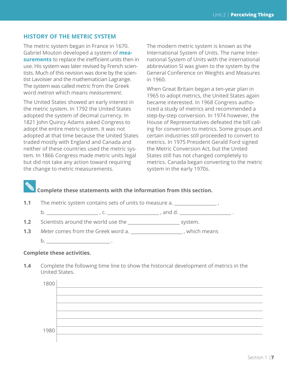#### **HISTORY OF THE METRIC SYSTEM**

The metric system began in France in 1670. Gabriel Mouton developed a system of **measurements** to replace the inefficient units then in use. His system was later revised by French scientists. Much of this revision was done by the scientist Lavoisier and the mathematician Lagrange. The system was called *metric* from the Greek word *metron* which means *measurement*.

The United States showed an early interest in the metric system. In 1792 the United States adopted the system of decimal currency. In 1821 John Quincy Adams asked Congress to adopt the entire metric system. It was not adopted at that time because the United States traded mostly with England and Canada and neither of these countries used the metric system. In 1866 Congress made metric units legal but did not take any action toward requiring the change to metric measurements.

The modern metric system is known as the International System of Units. The name International System of Units with the international abbreviation SI was given to the system by the General Conference on Weights and Measures in 1960.

When Great Britain began a ten-year plan in 1965 to adopt metrics, the United States again became interested. In 1968 Congress authorized a study of metrics and recommended a step-by-step conversion. In 1974 however, the House of Representatives defeated the bill calling for conversion to metrics. Some groups and certain industries still proceeded to convert to metrics. In 1975 President Gerald Ford signed the Metric Conversion Act, but the United States still has not changed completely to metrics. Canada began converting to the metric system in the early 1970s.

#### **Complete these statements with the information from this section.**

**1.1** The metric system contains sets of units to measure a.

b. \_\_\_\_\_\_\_\_\_\_\_\_\_\_\_\_\_\_\_\_\_\_ , c. \_\_\_\_\_\_\_\_\_\_\_\_\_\_\_\_\_\_\_\_\_\_ , and d. \_\_\_\_\_\_\_\_\_\_\_\_\_\_\_\_\_\_\_\_\_\_ .

- **1.2** Scientists around the world use the \_\_\_\_\_\_\_\_\_\_\_\_\_\_\_\_\_\_\_\_\_\_ system.
- **1.3** *Meter* comes from the Greek word a. \_\_\_\_\_\_\_\_\_\_\_\_\_\_\_\_\_\_\_\_\_\_ , which means  $b.$

#### **Complete these activities.**

**1.4** Complete the following time line to show the historical development of metrics in the United States.

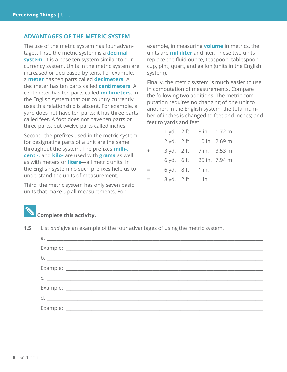#### **ADVANTAGES OF THE METRIC SYSTEM**

The use of the metric system has four advantages. First, the metric system is a **decimal system**. It is a base ten system similar to our currency system. Units in the metric system are increased or decreased by tens. For example, a **meter** has ten parts called **decimeters**. A decimeter has ten parts called **centimeters**. A centimeter has ten parts called **millimeters**. In the English system that our country currently uses this relationship is absent. For example, a yard does not have ten parts; it has three parts called feet. A foot does not have ten parts or three parts, but twelve parts called inches.

Second, the prefixes used in the metric system for designating parts of a unit are the same throughout the system. The prefixes **milli-, centi-,** and **kilo-** are used with **grams** as well as with meters or **liters**—all metric units. In the English system no such prefixes help us to understand the units of measurement.

Third, the metric system has only seven basic units that make up all measurements. For

example, in measuring **volume** in metrics, the units are **milliliter** and liter. These two units replace the fluid ounce, teaspoon, tablespoon, cup, pint, quart, and gallon (units in the English system).

Finally, the metric system is much easier to use in computation of measurements. Compare the following two additions. The metric computation requires no changing of one unit to another. In the English system, the total number of inches is changed to feet and inches; and feet to yards and feet.

|        |                                               | 1 yd. 2 ft. 8 in. 1.72 m  |
|--------|-----------------------------------------------|---------------------------|
|        |                                               | 2 yd. 2 ft. 10 in. 2.69 m |
| $^{+}$ |                                               | 3 yd. 2 ft. 7 in. 3.53 m  |
|        |                                               | 6 yd. 6 ft. 25 in. 7.94 m |
| $=$    | $6 \text{ yd. } 8 \text{ ft. } 1 \text{ in.}$ |                           |
| $=$    | 8 yd. 2 ft. 1 in.                             |                           |

#### **Complete this activity.**

**1.5** List *and* give an example of the four advantages of using the metric system.

| $a.$ $a.$            |  |
|----------------------|--|
|                      |  |
|                      |  |
|                      |  |
| $C.$ $\qquad \qquad$ |  |
|                      |  |
|                      |  |
|                      |  |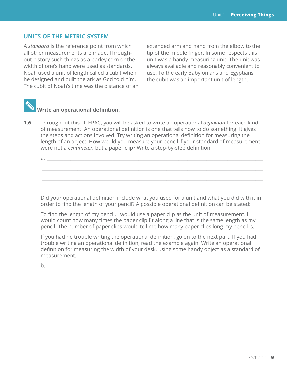#### **UNITS OF THE METRIC SYSTEM**

A *standard* is the reference point from which all other measurements are made. Throughout history such things as a barley corn or the width of one's hand were used as standards. Noah used a unit of length called a cubit when he designed and built the ark as God told him. The cubit of Noah's time was the distance of an

extended arm and hand from the elbow to the tip of the middle finger. In some respects this unit was a handy measuring unit. The unit was always available and reasonably convenient to use. To the early Babylonians and Egyptians, the cubit was an important unit of length.



 **Write an operational definition.**

a.  $\Box$ 

**1.6** Throughout this LIFEPAC, you will be asked to write an operational *definition* for each kind of measurement. An operational definition is one that tells how to do something. It gives the steps and actions involved. Try writing an operational definition for measuring the length of an object. How would you measure your pencil if your standard of measurement were not a *centimeter,* but a paper clip? Write a step-by-step definition.

Did your operational definition include what you used for a unit and what you did with it in order to find the length of your pencil? A possible operational definition can be stated:

 $\_$  ,  $\_$  ,  $\_$  ,  $\_$  ,  $\_$  ,  $\_$  ,  $\_$  ,  $\_$  ,  $\_$  ,  $\_$  ,  $\_$  ,  $\_$  ,  $\_$  ,  $\_$  ,  $\_$  ,  $\_$  ,  $\_$  ,  $\_$  ,  $\_$  ,  $\_$ 

 $\_$  ,  $\_$  ,  $\_$  ,  $\_$  ,  $\_$  ,  $\_$  ,  $\_$  ,  $\_$  ,  $\_$  ,  $\_$  ,  $\_$  ,  $\_$  ,  $\_$  ,  $\_$  ,  $\_$  ,  $\_$  ,  $\_$  ,  $\_$  ,  $\_$  ,  $\_$ 

 $\_$  ,  $\_$  ,  $\_$  ,  $\_$  ,  $\_$  ,  $\_$  ,  $\_$  ,  $\_$  ,  $\_$  ,  $\_$  ,  $\_$  ,  $\_$  ,  $\_$  ,  $\_$  ,  $\_$  ,  $\_$  ,  $\_$  ,  $\_$  ,  $\_$  ,  $\_$ 

To find the length of my pencil, I would use a paper clip as the unit of measurement. I would count how many times the paper clip fit along a line that is the same length as my pencil. The number of paper clips would tell me how many paper clips long my pencil is.

If you had no trouble writing the operational definition, go on to the next part. If you had trouble writing an operational definition, read the example again. Write an operational definition for measuring the width of your desk, using some handy object as a standard of measurement.

\_\_\_\_\_\_\_\_\_\_\_\_\_\_\_\_\_\_\_\_\_\_\_\_\_\_\_\_\_\_\_\_\_\_\_\_\_\_\_\_\_\_\_\_\_\_\_\_\_\_\_\_\_\_\_\_\_\_\_\_\_\_\_\_\_\_\_\_\_\_\_\_\_\_\_\_\_\_\_\_\_\_\_\_\_\_\_\_\_\_\_\_\_\_

\_\_\_\_\_\_\_\_\_\_\_\_\_\_\_\_\_\_\_\_\_\_\_\_\_\_\_\_\_\_\_\_\_\_\_\_\_\_\_\_\_\_\_\_\_\_\_\_\_\_\_\_\_\_\_\_\_\_\_\_\_\_\_\_\_\_\_\_\_\_\_\_\_\_\_\_\_\_\_\_\_\_\_\_\_\_\_\_\_\_\_\_\_\_

\_\_\_\_\_\_\_\_\_\_\_\_\_\_\_\_\_\_\_\_\_\_\_\_\_\_\_\_\_\_\_\_\_\_\_\_\_\_\_\_\_\_\_\_\_\_\_\_\_\_\_\_\_\_\_\_\_\_\_\_\_\_\_\_\_\_\_\_\_\_\_\_\_\_\_\_\_\_\_\_\_\_\_\_\_\_\_\_\_\_\_\_\_\_

b. \_\_\_\_\_\_\_\_\_\_\_\_\_\_\_\_\_\_\_\_\_\_\_\_\_\_\_\_\_\_\_\_\_\_\_\_\_\_\_\_\_\_\_\_\_\_\_\_\_\_\_\_\_\_\_\_\_\_\_\_\_\_\_\_\_\_\_\_\_\_\_\_\_\_\_\_\_\_\_\_\_\_\_\_\_\_\_\_\_\_\_\_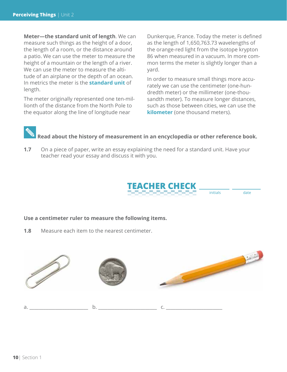**Meter—the standard unit of length**. We can measure such things as the height of a door, the length of a room, or the distance around a patio. We can use the meter to measure the height of a mountain or the length of a river. We can use the meter to measure the altitude of an airplane or the depth of an ocean. In metrics the meter is the **standard unit** of length.

The meter originally represented one ten-millionth of the distance from the North Pole to the equator along the line of longitude near

Dunkerque, France. Today the meter is defined as the length of 1,650,763.73 wavelengths of the orange-red light from the isotope krypton 86 when measured in a vacuum. In more common terms the meter is slightly longer than a yard.

In order to measure small things more accurately we can use the centimeter (one-hundredth meter) or the millimeter (one-thousandth meter). To measure longer distances, such as those between cities, we can use the **kilometer** (one thousand meters).

### **Read about the history of measurement in an encyclopedia or other reference book.**

**1.7** On a piece of paper, write an essay explaining the need for a standard unit. Have your teacher read your essay and discuss it with you.



initials date

#### **Use a centimeter ruler to measure the following items.**

**1.8** Measure each item to the nearest centimeter.

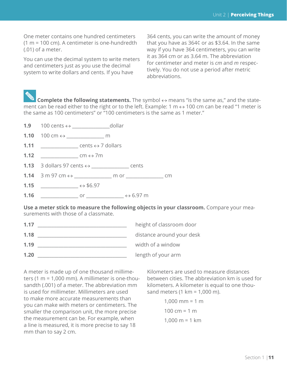One meter contains one hundred centimeters (1 m = 100 cm). A centimeter is one-hundredth (.01) of a meter.

You can use the decimal system to write meters and centimeters just as you use the decimal system to write dollars and cents. If you have

364 cents, you can write the amount of money that you have as 364¢ or as \$3.64. In the same way if you have 364 centimeters, you can write it as 364 cm or as 3.64 m. The abbreviation for centimeter and meter is *cm* and *m* respectively. You do not use a period after metric abbreviations.

**Examplete the following statements.** The symbol  $\leftrightarrow$  means "is the same as," and the statement can be read either to the right or to the left. Example: 1 m  $\leftrightarrow$  100 cm can be read "1 meter is the same as 100 centimeters" or "100 centimeters is the same as 1 meter."

- **1.9** 100 cents ↔ \_\_\_\_\_\_\_\_\_\_\_\_\_\_\_\_dollar
- **1.10** 100 cm ↔ \_\_\_\_\_\_\_\_\_\_\_\_\_\_\_\_ m
- **1.11** \_\_\_\_\_\_\_\_\_\_\_\_\_\_\_\_ cents ↔ 7 dollars
- **1.12** cm  $\leftrightarrow$  7m
- **1.13** 3 dollars 97 cents ↔ \_\_\_\_\_\_\_\_\_\_\_\_\_\_\_\_ cents
- **1.14** 3 m 97 cm ↔ \_\_\_\_\_\_\_\_\_\_\_\_\_\_\_\_ m or \_\_\_\_\_\_\_\_\_\_\_\_\_\_\_\_ cm
- **1.15** \_\_\_\_\_\_\_\_\_\_\_\_\_\_\_\_\_\_\_  $\leftrightarrow$  \$6.97
- **1.16**  $\leftrightarrow$  6.97 m

**Use a meter stick to measure the following objects in your classroom.** Compare your measurements with those of a classmate.

| height of classroom door  |
|---------------------------|
| distance around your desk |
| width of a window         |
| length of your arm        |
|                           |

A meter is made up of one thousand millimeters (1 m = 1,000 mm). A millimeter is one-thousandth (.001) of a meter. The abbreviation mm is used for millimeter. Millimeters are used to make more accurate measurements than you can make with meters or centimeters. The smaller the comparison unit, the more precise the measurement can be. For example, when a line is measured, it is more precise to say 18 mm than to say 2 cm.

Kilometers are used to measure distances between cities. The abbreviation km is used for kilometers. A kilometer is equal to one thousand meters (1 km = 1,000 m).

```
1,000 mm = 1 m
100 cm = 1 \text{ m}1.000 \text{ m} = 1 \text{ km}
```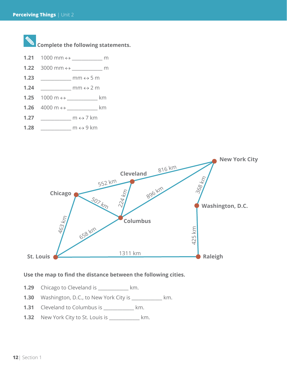



#### **Use the map to find the distance between the following cities.**

**1.29** Chicago to Cleveland is \_\_\_\_\_\_\_\_\_\_\_\_\_ km.

- **1.30** Washington, D.C., to New York City is \_\_\_\_\_\_\_\_\_\_\_\_\_ km.
- **1.31** Cleveland to Columbus is \_\_\_\_\_\_\_\_\_\_\_\_\_ km.
- **1.32** New York City to St. Louis is \_\_\_\_\_\_\_\_\_\_\_\_\_ km.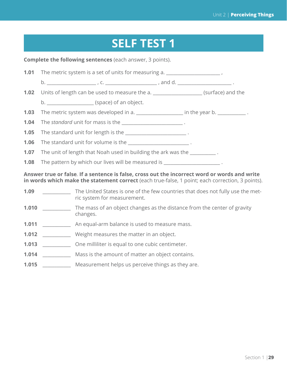### **SELF TEST 1**

**Complete the following sentences** (each answer, 3 points).

**1.01** The metric system is a set of units for measuring a. b. \_\_\_\_\_\_\_\_\_\_\_\_\_\_\_\_\_\_\_\_\_ , c. \_\_\_\_\_\_\_\_\_\_\_\_\_\_\_\_\_\_\_\_\_\_ , and d. \_\_\_\_\_\_\_\_\_\_\_\_\_\_\_\_\_\_\_\_\_\_\_ . **1.02** Units of length can be used to measure the a. \_\_\_\_\_\_\_\_\_\_\_\_\_\_\_\_\_\_\_\_\_ (surface) and the b. \_\_\_\_\_\_\_\_\_\_\_\_\_\_\_\_\_\_\_\_\_\_\_\_\_\_(space) of an object. **1.03** The metric system was developed in a. \_\_\_\_\_\_\_\_\_\_\_\_\_\_\_\_\_\_\_\_ in the year b. \_\_\_\_\_\_\_\_\_\_\_\_ . **1.04** The *standard* unit for mass is the \_\_\_\_\_\_\_\_\_\_\_\_\_\_\_\_\_\_\_\_\_\_\_\_\_\_ . **1.05** The standard unit for length is the \_\_\_\_\_\_\_\_\_\_\_\_\_\_\_\_\_\_\_\_\_\_\_\_\_\_\_. **1.06** The standard unit for volume is the **wave and the standard unit** for volume is the **1.07** The unit of length that Noah used in building the ark was the \_\_\_\_\_\_\_\_\_\_\_. **1.08** The pattern by which our lives will be measured is  $\qquad \qquad$ . **Answer true or false***.* **If a sentence is false, cross out the incorrect word or words and write in words which make the statement correct** (each true-false, 1 point; each correction, 3 points).

- **1.09** \_\_\_\_\_\_\_\_\_\_\_\_\_\_ The United States is one of the few countries that does not fully use the metric system for measurement.
- **1.010** \_\_\_\_\_\_\_\_\_\_\_\_\_ The mass of an object changes as the distance from the center of gravity changes.
- **1.011** An equal-arm balance is used to measure mass.
- **1.012** \_\_\_\_\_\_\_\_\_\_\_\_ Weight measures the matter in an object.
- **1.013** \_\_\_\_\_\_\_\_\_\_\_\_ One milliliter is equal to one cubic centimeter.
- **1.014** \_\_\_\_\_\_\_\_\_\_\_\_ Mass is the amount of matter an object contains.
- **1.015** Measurement helps us perceive things as they are.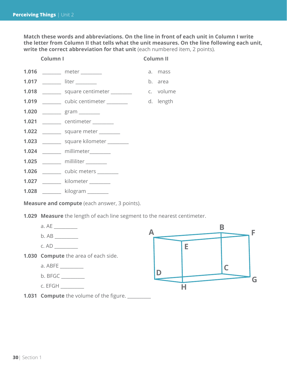**Match these words and abbreviations. On the line in front of each unit in Column I write the letter from Column II that tells what the unit measures. On the line following each unit,**  write the correct abbreviation for that unit (each numbered item, 2 points).

| Column I |  | <b>Column II</b>                                 |  |           |
|----------|--|--------------------------------------------------|--|-----------|
|          |  | 1.016 ________ meter ________                    |  | a. mass   |
|          |  | 1.017 _________ liter ________                   |  | b. area   |
|          |  |                                                  |  |           |
|          |  | <b>1.019</b> _________ cubic centimeter ________ |  | d. length |
|          |  | 1.020 _________ gram _______                     |  |           |
|          |  | 1.021 _________ centimeter ________              |  |           |
|          |  | 1.022 __________ square meter ________           |  |           |
|          |  | 1.023 _________ square kilometer ________        |  |           |
|          |  | 1.024 ________ millimeter________                |  |           |
|          |  | 1.025 ________ milliliter _______                |  |           |
|          |  | 1.026 _________ cubic meters ________            |  |           |
|          |  | 1.027 ________ kilometer _______                 |  |           |
|          |  | 1.028 _______ kilogram _______                   |  |           |

**Measure and compute** (each answer, 3 points).

**1.029 Measure** the length of each line segment to the nearest centimeter.

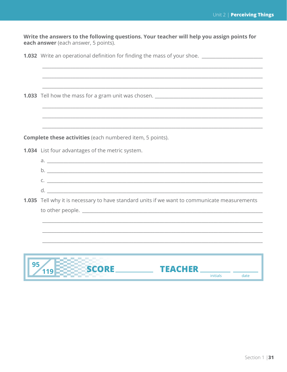Write the answers to the following questions. Your teacher will help you assign points for each answer (each answer, 5 points).

1.032 Write an operational definition for finding the mass of your shoe. \_\_\_\_\_\_\_\_\_\_\_\_\_\_\_

1.033 Tell how the mass for a gram unit was chosen. \_\_\_\_\_\_\_\_\_\_\_\_\_\_\_\_\_\_\_\_\_\_\_\_\_\_\_\_

**Complete these activities** (each numbered item, 5 points).

1.034 List four advantages of the metric system.

| d |  |
|---|--|
|   |  |
|   |  |
|   |  |

1.035 Tell why it is necessary to have standard units if we want to communicate measurements to other people.